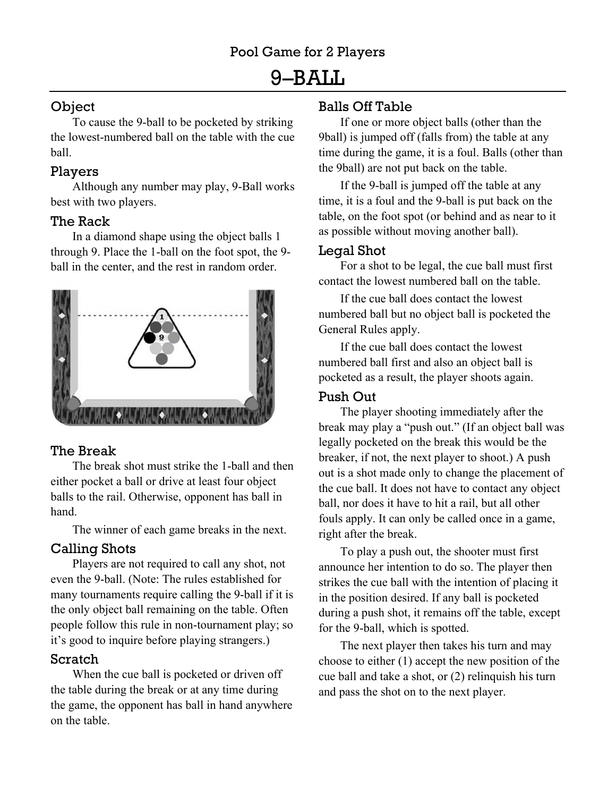# 9–BALL

# Object

To cause the 9-ball to be pocketed by striking the lowest-numbered ball on the table with the cue ball.

#### Players

Although any number may play, 9-Ball works best with two players.

### The Rack

In a diamond shape using the object balls 1 through 9. Place the 1-ball on the foot spot, the 9 ball in the center, and the rest in random order.



### The Break

The break shot must strike the 1-ball and then either pocket a ball or drive at least four object balls to the rail. Otherwise, opponent has ball in hand.

The winner of each game breaks in the next.

# Calling Shots

Players are not required to call any shot, not even the 9-ball. (Note: The rules established for many tournaments require calling the 9-ball if it is the only object ball remaining on the table. Often people follow this rule in non-tournament play; so it's good to inquire before playing strangers.)

# Scratch

When the cue ball is pocketed or driven off the table during the break or at any time during the game, the opponent has ball in hand anywhere on the table.

## Balls Off Table

If one or more object balls (other than the 9ball) is jumped off (falls from) the table at any time during the game, it is a foul. Balls (other than the 9ball) are not put back on the table.

If the 9-ball is jumped off the table at any time, it is a foul and the 9-ball is put back on the table, on the foot spot (or behind and as near to it as possible without moving another ball).

### Legal Shot

For a shot to be legal, the cue ball must first contact the lowest numbered ball on the table.

If the cue ball does contact the lowest numbered ball but no object ball is pocketed the General Rules apply.

If the cue ball does contact the lowest numbered ball first and also an object ball is pocketed as a result, the player shoots again.

## Push Out

The player shooting immediately after the break may play a "push out." (If an object ball was legally pocketed on the break this would be the breaker, if not, the next player to shoot.) A push out is a shot made only to change the placement of the cue ball. It does not have to contact any object ball, nor does it have to hit a rail, but all other fouls apply. It can only be called once in a game, right after the break.

To play a push out, the shooter must first announce her intention to do so. The player then strikes the cue ball with the intention of placing it in the position desired. If any ball is pocketed during a push shot, it remains off the table, except for the 9-ball, which is spotted.

The next player then takes his turn and may choose to either (1) accept the new position of the cue ball and take a shot, or (2) relinquish his turn and pass the shot on to the next player.